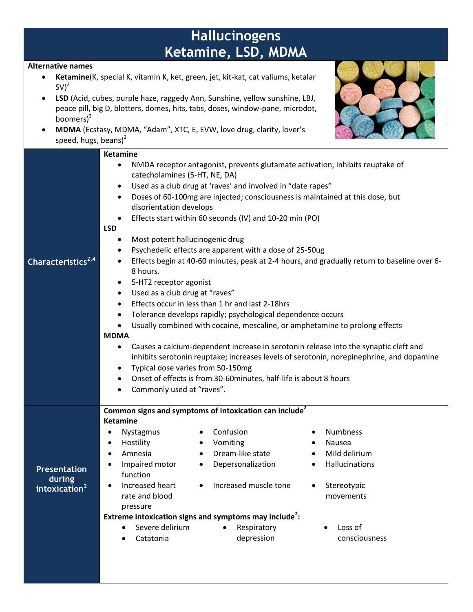## **Hallucinogens Ketamine, LSD, MDMA**

## **Alternative names**

- **Ketamine**(K, special K, vitamin K, ket, green, jet, kit-kat, cat valiums, ketalar  $SV^2$
- **LSD** (Acid, cubes, purple haze, raggedy Ann, Sunshine, yellow sunshine, LBJ, peace pill, big D, blotters, domes, hits, tabs, doses, window-pane, microdot, boomers $)^2$
- **MDMA** (Ecstasy, MDMA, "Adam", XTC, E, EVW, love drug, clarity, lover's speed, hugs, beans) $<sup>2</sup>$ </sup>



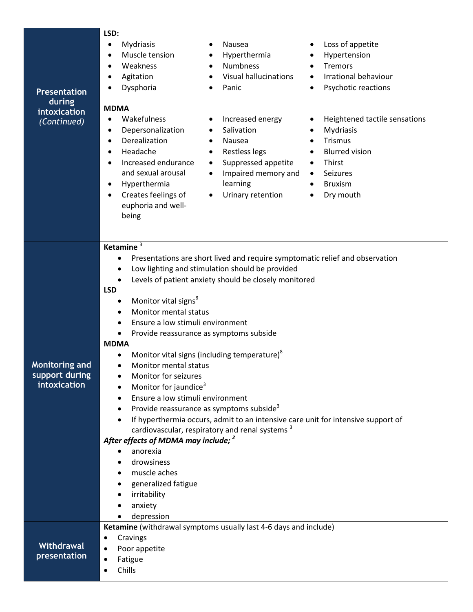| <b>Presentation</b><br>during<br>intoxication<br>(Continued) | LSD:<br>Mydriasis<br>Nausea<br>Loss of appetite<br>$\bullet$<br>$\bullet$<br>Muscle tension<br>Hyperthermia<br>Hypertension<br>$\bullet$<br>$\bullet$<br>٠<br><b>Numbness</b><br>Weakness<br>Tremors<br>$\bullet$<br><b>Visual hallucinations</b><br>Irrational behaviour<br>Agitation<br>$\bullet$<br>Psychotic reactions<br>Dysphoria<br>Panic<br>$\bullet$<br><b>MDMA</b><br>Wakefulness<br>Increased energy<br>Heightened tactile sensations<br>$\bullet$<br>٠<br>Depersonalization<br>Salivation<br>Mydriasis<br>$\bullet$<br>Derealization<br>Trismus<br>Nausea<br>$\bullet$<br>$\bullet$<br>$\bullet$<br>Headache<br>Restless legs<br><b>Blurred vision</b><br>$\bullet$<br>٠<br>Increased endurance<br>Suppressed appetite<br>Thirst<br>$\bullet$<br>$\bullet$<br>and sexual arousal<br>Impaired memory and<br>Seizures<br>$\bullet$<br>$\bullet$<br>learning<br>Hyperthermia<br><b>Bruxism</b><br>$\bullet$<br>$\bullet$<br>Creates feelings of<br>Urinary retention<br>Dry mouth<br>٠<br>$\bullet$<br>euphoria and well-<br>being                                                                       |
|--------------------------------------------------------------|-------------------------------------------------------------------------------------------------------------------------------------------------------------------------------------------------------------------------------------------------------------------------------------------------------------------------------------------------------------------------------------------------------------------------------------------------------------------------------------------------------------------------------------------------------------------------------------------------------------------------------------------------------------------------------------------------------------------------------------------------------------------------------------------------------------------------------------------------------------------------------------------------------------------------------------------------------------------------------------------------------------------------------------------------------------------------------------------------------------------|
| <b>Monitoring and</b><br>support during<br>intoxication      | Ketamine $3$<br>Presentations are short lived and require symptomatic relief and observation<br>$\bullet$<br>Low lighting and stimulation should be provided<br>$\bullet$<br>Levels of patient anxiety should be closely monitored<br>$\bullet$<br><b>LSD</b><br>Monitor vital signs <sup>8</sup><br>$\bullet$<br>Monitor mental status<br>$\bullet$<br>Ensure a low stimuli environment<br>$\bullet$<br>Provide reassurance as symptoms subside<br>$\bullet$<br><b>MDMA</b><br>Monitor vital signs (including temperature) <sup>8</sup><br>$\bullet$<br><b>Monitor mental status</b><br>$\bullet$<br>Monitor for seizures<br>$\bullet$<br>Monitor for jaundice <sup>3</sup><br>Ensure a low stimuli environment<br>$\bullet$<br>Provide reassurance as symptoms subside <sup>3</sup><br>$\bullet$<br>If hyperthermia occurs, admit to an intensive care unit for intensive support of<br>cardiovascular, respiratory and renal systems <sup>3</sup><br>After effects of MDMA may include; <sup>2</sup><br>anorexia<br>drowsiness<br>muscle aches<br>generalized fatigue<br>irritability<br>anxiety<br>depression |
| Withdrawal<br>presentation                                   | Ketamine (withdrawal symptoms usually last 4-6 days and include)<br>Cravings<br>Poor appetite<br>Fatigue<br>Chills                                                                                                                                                                                                                                                                                                                                                                                                                                                                                                                                                                                                                                                                                                                                                                                                                                                                                                                                                                                                |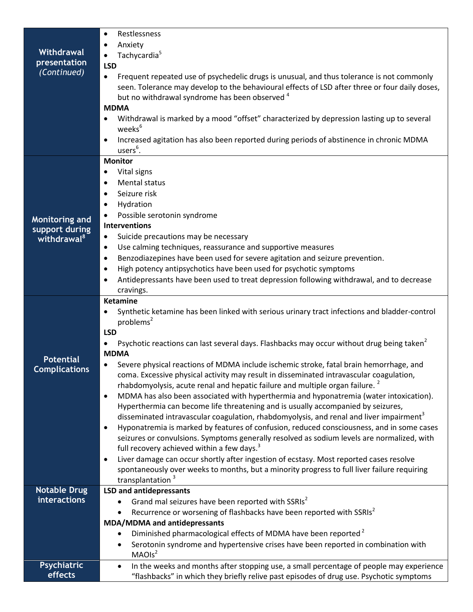|                                          | Restlessness<br>$\bullet$                                                                                                                                                                          |
|------------------------------------------|----------------------------------------------------------------------------------------------------------------------------------------------------------------------------------------------------|
|                                          | Anxiety<br>$\bullet$                                                                                                                                                                               |
| Withdrawal                               | Tachycardia <sup>5</sup><br>$\bullet$                                                                                                                                                              |
| <b>presentation</b><br>(Continued)       | <b>LSD</b>                                                                                                                                                                                         |
|                                          | Frequent repeated use of psychedelic drugs is unusual, and thus tolerance is not commonly<br>$\bullet$                                                                                             |
|                                          | seen. Tolerance may develop to the behavioural effects of LSD after three or four daily doses,                                                                                                     |
|                                          | but no withdrawal syndrome has been observed <sup>4</sup>                                                                                                                                          |
|                                          | <b>MDMA</b>                                                                                                                                                                                        |
|                                          | Withdrawal is marked by a mood "offset" characterized by depression lasting up to several                                                                                                          |
|                                          | weeks <sup>6</sup>                                                                                                                                                                                 |
|                                          | Increased agitation has also been reported during periods of abstinence in chronic MDMA<br>users <sup>6</sup> .                                                                                    |
|                                          | <b>Monitor</b>                                                                                                                                                                                     |
|                                          | Vital signs<br>٠                                                                                                                                                                                   |
|                                          | Mental status<br>$\bullet$                                                                                                                                                                         |
|                                          | Seizure risk<br>$\bullet$                                                                                                                                                                          |
|                                          | Hydration<br>$\bullet$                                                                                                                                                                             |
| Monitoring and                           | Possible serotonin syndrome<br>$\bullet$                                                                                                                                                           |
| support during                           | <b>Interventions</b>                                                                                                                                                                               |
| withdrawal <sup>8</sup>                  | Suicide precautions may be necessary<br>٠                                                                                                                                                          |
|                                          | Use calming techniques, reassurance and supportive measures<br>٠                                                                                                                                   |
|                                          | Benzodiazepines have been used for severe agitation and seizure prevention.<br>$\bullet$                                                                                                           |
|                                          | High potency antipsychotics have been used for psychotic symptoms<br>$\bullet$                                                                                                                     |
|                                          | Antidepressants have been used to treat depression following withdrawal, and to decrease                                                                                                           |
|                                          | cravings.                                                                                                                                                                                          |
|                                          | <b>Ketamine</b>                                                                                                                                                                                    |
|                                          | Synthetic ketamine has been linked with serious urinary tract infections and bladder-control<br>problems <sup>2</sup>                                                                              |
|                                          | <b>LSD</b>                                                                                                                                                                                         |
|                                          | Psychotic reactions can last several days. Flashbacks may occur without drug being taken <sup>2</sup><br>$\bullet$                                                                                 |
|                                          | <b>MDMA</b>                                                                                                                                                                                        |
| <b>Potential</b><br><b>Complications</b> | Severe physical reactions of MDMA include ischemic stroke, fatal brain hemorrhage, and                                                                                                             |
|                                          | coma. Excessive physical activity may result in disseminated intravascular coagulation,                                                                                                            |
|                                          | rhabdomyolysis, acute renal and hepatic failure and multiple organ failure. <sup>2</sup>                                                                                                           |
|                                          | MDMA has also been associated with hyperthermia and hyponatremia (water intoxication).<br>$\bullet$                                                                                                |
|                                          | Hyperthermia can become life threatening and is usually accompanied by seizures,                                                                                                                   |
|                                          | disseminated intravascular coagulation, rhabdomyolysis, and renal and liver impairment <sup>3</sup>                                                                                                |
|                                          | Hyponatremia is marked by features of confusion, reduced consciousness, and in some cases<br>$\bullet$                                                                                             |
|                                          | seizures or convulsions. Symptoms generally resolved as sodium levels are normalized, with                                                                                                         |
|                                          | full recovery achieved within a few days. <sup>3</sup>                                                                                                                                             |
|                                          | Liver damage can occur shortly after ingestion of ecstasy. Most reported cases resolve<br>$\bullet$<br>spontaneously over weeks to months, but a minority progress to full liver failure requiring |
|                                          | transplantation <sup>3</sup>                                                                                                                                                                       |
| <b>Notable Drug</b>                      | <b>LSD and antidepressants</b>                                                                                                                                                                     |
| interactions                             | Grand mal seizures have been reported with SSRIs <sup>2</sup>                                                                                                                                      |
|                                          | Recurrence or worsening of flashbacks have been reported with SSRIs <sup>2</sup>                                                                                                                   |
|                                          | MDA/MDMA and antidepressants                                                                                                                                                                       |
|                                          | Diminished pharmacological effects of MDMA have been reported <sup>2</sup><br>$\bullet$                                                                                                            |
|                                          | Serotonin syndrome and hypertensive crises have been reported in combination with<br>٠                                                                                                             |
|                                          | MAOIs <sup>2</sup>                                                                                                                                                                                 |
| <b>Psychiatric</b>                       | In the weeks and months after stopping use, a small percentage of people may experience<br>$\bullet$                                                                                               |
| effects                                  | "flashbacks" in which they briefly relive past episodes of drug use. Psychotic symptoms                                                                                                            |